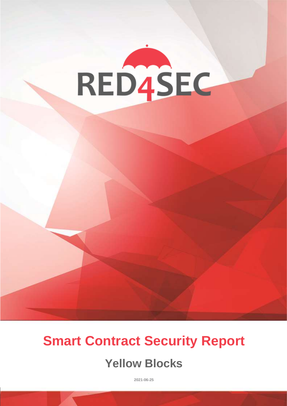

# **Smart Contract Security Report**

# **Yellow Blocks**

**2021-06-25**

**RED4SEC Page 12 And 12 And 12 And 12 And 12 And 12 And 12 And 12 And 12 And 12 And 12 And 12 And 12 And 12**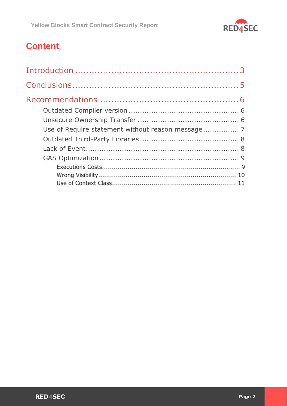

# **Content**

| Use of Require statement without reason message 7 |  |
|---------------------------------------------------|--|
|                                                   |  |
|                                                   |  |
|                                                   |  |
|                                                   |  |
|                                                   |  |
|                                                   |  |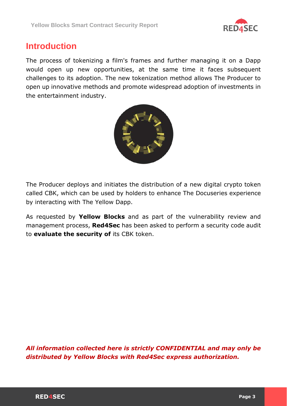

# <span id="page-2-0"></span>**Introduction**

The process of tokenizing a film's frames and further managing it on a Dapp would open up new opportunities, at the same time it faces subsequent challenges to its adoption. The new tokenization method allows The Producer to open up innovative methods and promote widespread adoption of investments in the entertainment industry.



The Producer deploys and initiates the distribution of a new digital crypto token called CBK, which can be used by holders to enhance The Docuseries experience by interacting with The Yellow Dapp.

As requested by **Yellow Blocks** and as part of the vulnerability review and management process, **Red4Sec** has been asked to perform a security code audit to **evaluate the security of** its CBK token.

*All information collected here is strictly CONFIDENTIAL and may only be distributed by Yellow Blocks with Red4Sec express authorization.*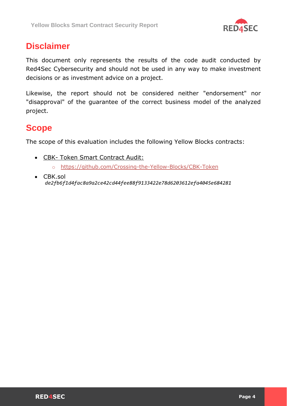

# **Disclaimer**

This document only represents the results of the code audit conducted by Red4Sec Cybersecurity and should not be used in any way to make investment decisions or as investment advice on a project.

Likewise, the report should not be considered neither "endorsement" nor "disapproval" of the guarantee of the correct business model of the analyzed project.

## **Scope**

The scope of this evaluation includes the following Yellow Blocks contracts:

- CBK- Token Smart Contract Audit:
	- o <https://github.com/Crossing-the-Yellow-Blocks/CBK-Token>
- CBK.sol *de2fb6f1d4fac8a9a2ce42cd44fee88f9133422e78d6203612efa4045e684281*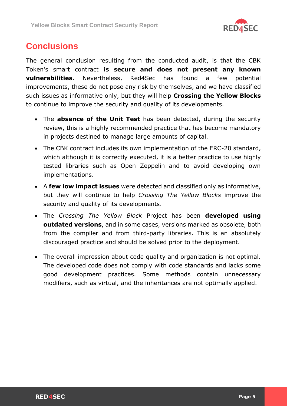

# <span id="page-4-0"></span>**Conclusions**

The general conclusion resulting from the conducted audit, is that the CBK Token's smart contract **is secure and does not present any known vulnerabilities**. Nevertheless, Red4Sec has found a few potential improvements, these do not pose any risk by themselves, and we have classified such issues as informative only, but they will help **Crossing the Yellow Blocks**  to continue to improve the security and quality of its developments.

- The **absence of the Unit Test** has been detected, during the security review, this is a highly recommended practice that has become mandatory in projects destined to manage large amounts of capital.
- The CBK contract includes its own implementation of the ERC-20 standard, which although it is correctly executed, it is a better practice to use highly tested libraries such as Open Zeppelin and to avoid developing own implementations.
- A **few low impact issues** were detected and classified only as informative, but they will continue to help *Crossing The Yellow Blocks* improve the security and quality of its developments.
- The *Crossing The Yellow Block* Project has been **developed using outdated versions**, and in some cases, versions marked as obsolete, both from the compiler and from third-party libraries. This is an absolutely discouraged practice and should be solved prior to the deployment.
- The overall impression about code quality and organization is not optimal. The developed code does not comply with code standards and lacks some good development practices. Some methods contain unnecessary modifiers, such as virtual, and the inheritances are not optimally applied.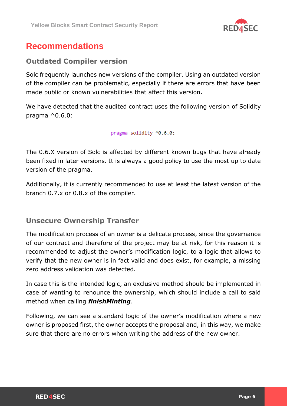

# <span id="page-5-0"></span>**Recommendations**

#### <span id="page-5-1"></span>**Outdated Compiler version**

Solc frequently launches new versions of the compiler. Using an outdated version of the compiler can be problematic, especially if there are errors that have been made public or known vulnerabilities that affect this version.

We have detected that the audited contract uses the following version of Solidity pragma  $^{\wedge}0.6.0$ :

pragma solidity ^0.6.0;

The 0.6.X version of Solc is affected by different known bugs that have already been fixed in later versions. It is always a good policy to use the most up to date version of the pragma.

Additionally, it is currently recommended to use at least the latest version of the branch 0.7.x or 0.8.x of the compiler.

#### <span id="page-5-2"></span>**Unsecure Ownership Transfer**

The modification process of an owner is a delicate process, since the governance of our contract and therefore of the project may be at risk, for this reason it is recommended to adjust the owner's modification logic, to a logic that allows to verify that the new owner is in fact valid and does exist, for example, a missing zero address validation was detected.

In case this is the intended logic, an exclusive method should be implemented in case of wanting to renounce the ownership, which should include a call to said method when calling *finishMinting*.

Following, we can see a standard logic of the owner's modification where a new owner is proposed first, the owner accepts the proposal and, in this way, we make sure that there are no errors when writing the address of the new owner.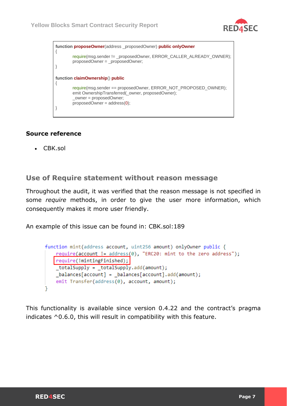



#### **Source reference**

• CBK.sol

#### <span id="page-6-0"></span>**Use of Require statement without reason message**

Throughout the audit, it was verified that the reason message is not specified in some *require* methods, in order to give the user more information, which consequently makes it more user friendly.

An example of this issue can be found in: CBK.sol:189

```
function mint(address account, uint256 amount) onlyOwner public {
   require(account != address(0), "ERC20: mint to the zero address");
   require(!mintingFinished);
   _totalSupply = _totalSupply.add(amount);
   balances[account] = balances[account].add(amount);emit Transfer(address(0), account, amount);
```
This functionality is available since version 0.4.22 and the contract's pragma indicates ^0.6.0, this will result in compatibility with this feature.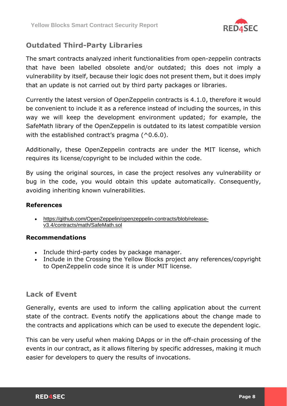

### <span id="page-7-0"></span>**Outdated Third-Party Libraries**

The smart contracts analyzed inherit functionalities from open-zeppelin contracts that have been labelled obsolete and/or outdated; this does not imply a vulnerability by itself, because their logic does not present them, but it does imply that an update is not carried out by third party packages or libraries.

Currently the latest version of OpenZeppelin contracts is 4.1.0, therefore it would be convenient to include it as a reference instead of including the sources, in this way we will keep the development environment updated; for example, the SafeMath library of the OpenZeppelin is outdated to its latest compatible version with the established contract's pragma  $(^0.6.0)$ .

Additionally, these OpenZeppelin contracts are under the MIT license, which requires its license/copyright to be included within the code.

By using the original sources, in case the project resolves any vulnerability or bug in the code, you would obtain this update automatically. Consequently, avoiding inheriting known vulnerabilities.

#### **References**

• [https://github.com/OpenZeppelin/openzeppelin-contracts/blob/release](https://github.com/OpenZeppelin/openzeppelin-contracts/blob/release-v3.4/contracts/math/SafeMath.sol)[v3.4/contracts/math/SafeMath.sol](https://github.com/OpenZeppelin/openzeppelin-contracts/blob/release-v3.4/contracts/math/SafeMath.sol)

#### **Recommendations**

- Include third-party codes by package manager.
- Include in the Crossing the Yellow Blocks project any references/copyright to OpenZeppelin code since it is under MIT license.

#### <span id="page-7-1"></span>**Lack of Event**

Generally, events are used to inform the calling application about the current state of the contract. Events notify the applications about the change made to the contracts and applications which can be used to execute the dependent logic.

This can be very useful when making DApps or in the off-chain processing of the events in our contract, as it allows filtering by specific addresses, making it much easier for developers to query the results of invocations.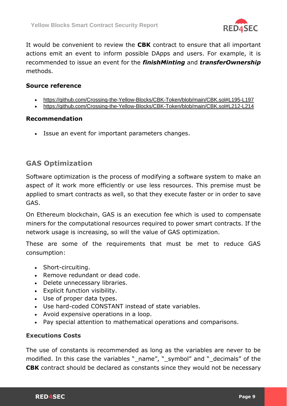

It would be convenient to review the **CBK** contract to ensure that all important actions emit an event to inform possible DApps and users. For example, it is recommended to issue an event for the *finishMinting* and *transferOwnership*  methods.

#### **Source reference**

- <https://github.com/Crossing-the-Yellow-Blocks/CBK-Token/blob/main/CBK.sol#L195-L197>
- <https://github.com/Crossing-the-Yellow-Blocks/CBK-Token/blob/main/CBK.sol#L212-L214>

#### **Recommendation**

• Issue an event for important parameters changes.

#### <span id="page-8-0"></span>**GAS Optimization**

Software optimization is the process of modifying a software system to make an aspect of it work more efficiently or use less resources. This premise must be applied to smart contracts as well, so that they execute faster or in order to save GAS.

On Ethereum blockchain, GAS is an execution fee which is used to compensate miners for the computational resources required to power smart contracts. If the network usage is increasing, so will the value of GAS optimization.

These are some of the requirements that must be met to reduce GAS consumption:

- Short-circuiting.
- Remove redundant or dead code.
- Delete unnecessary libraries.
- Explicit function visibility.
- Use of proper data types.
- Use hard-coded CONSTANT instead of state variables.
- Avoid expensive operations in a loop.
- Pay special attention to mathematical operations and comparisons.

#### **Executions Costs**

The use of constants is recommended as long as the variables are never to be modified. In this case the variables "\_name", "\_symbol" and "\_decimals" of the **CBK** contract should be declared as constants since they would not be necessary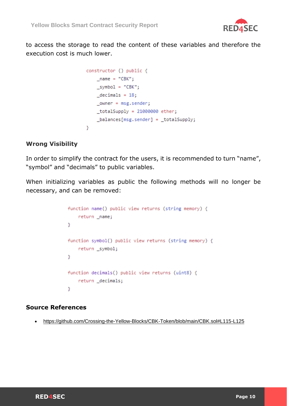

to access the storage to read the content of these variables and therefore the execution cost is much lower.

```
constructor () public {
   name = "CBK";symbol = "CBK";decimals = 18;owner = msg.sender;totalsupply = 21000000 \text{ ether};_balances[msg.sender] = _totalSupply;
- }
```
#### **Wrong Visibility**

In order to simplify the contract for the users, it is recommended to turn "name", "symbol" and "decimals" to public variables.

When initializing variables as public the following methods will no longer be necessary, and can be removed:

```
function name() public view returns (string memory) {
    return _name;
Y
function symbol() public view returns (string memory) {
    return _symbol;
Y
function decimals() public view returns (uint8) {
    return _decimals;
Y
```
#### **Source References**

• <https://github.com/Crossing-the-Yellow-Blocks/CBK-Token/blob/main/CBK.sol#L115-L125>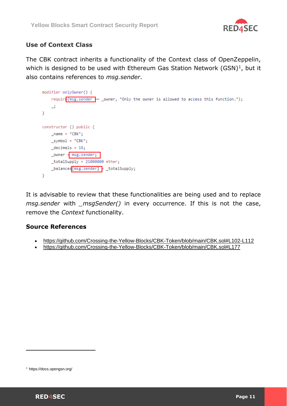

#### **Use of Context Class**

The CBK contract inherits a functionality of the Context class of OpenZeppelin, which is designed to be used with Ethereum Gas Station Network  $(GSN)^1$ , but it also contains references to *msg.sender*.

```
modifier onlyOwner() {
     requir\sqrt{\frac{1}{5}} requir\sqrt{\frac{1}{5}} sender \frac{1}{5} = _owner, "Only the owner is allowed to access this function.");
     \rightarrow\mathcal{Y}constructor () public {
    _name = "CBK";\text{symbol} = \text{"CBK"};
    decimals = 18;_owner = msg.sender;
     totalsupply = 21000000 \text{ ether};_balances[msg.sender] = _totalSupply;
Y
```
It is advisable to review that these functionalities are being used and to replace *msg.sender* with *\_msgSender()* in every occurrence. If this is not the case, remove the *Context* functionality.

#### **Source References**

- <https://github.com/Crossing-the-Yellow-Blocks/CBK-Token/blob/main/CBK.sol#L102-L112>
- <https://github.com/Crossing-the-Yellow-Blocks/CBK-Token/blob/main/CBK.sol#L177>

<sup>1</sup> https://docs.opengsn.org/